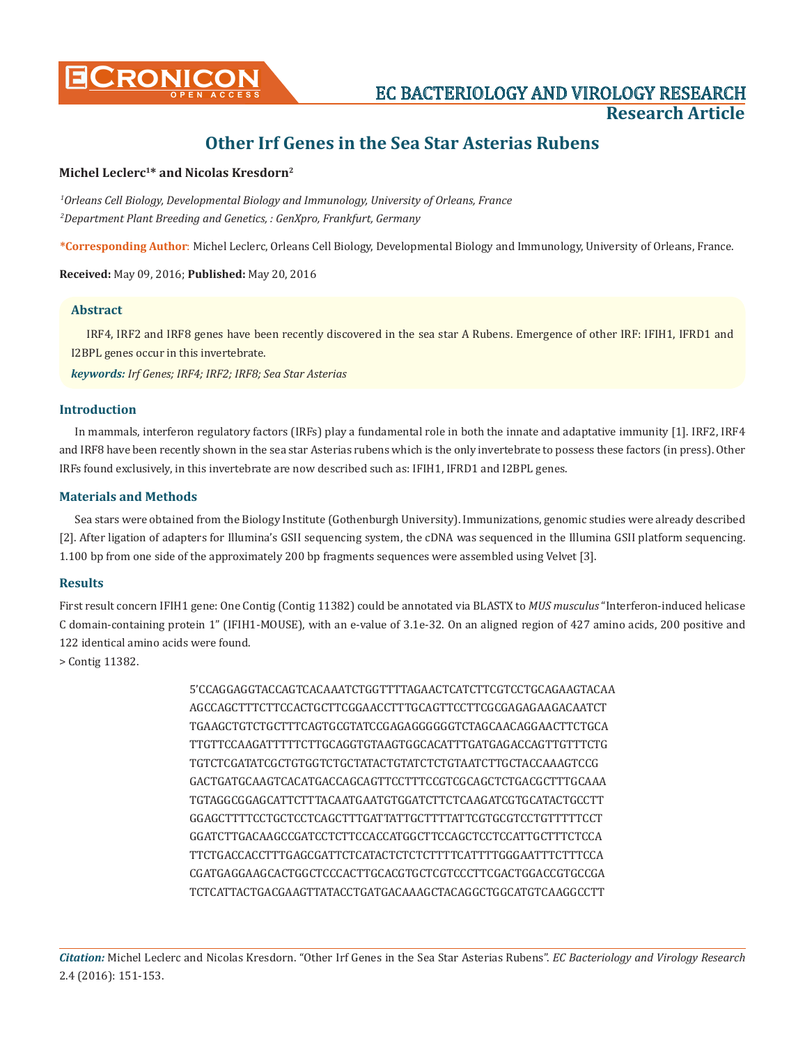

# **Other Irf Genes in the Sea Star Asterias Rubens**

## **Michel Leclerc1\* and Nicolas Kresdorn2**

*1 Orleans Cell Biology, Developmental Biology and Immunology, University of Orleans, France 2 Department Plant Breeding and Genetics, : GenXpro, Frankfurt, Germany*

**\*Corresponding Author**: Michel Leclerc, Orleans Cell Biology, Developmental Biology and Immunology, University of Orleans, France.

#### **Received:** May 09, 2016; **Published:** May 20, 2016

## **Abstract**

IRF4, IRF2 and IRF8 genes have been recently discovered in the sea star A Rubens. Emergence of other IRF: IFIH1, IFRD1 and I2BPL genes occur in this invertebrate.

*keywords: Irf Genes; IRF4; IRF2; IRF8; Sea Star Asterias*

#### **Introduction**

In mammals, interferon regulatory factors (IRFs) play a fundamental role in both the innate and adaptative immunity [1]. IRF2, IRF4 and IRF8 have been recently shown in the sea star Asterias rubens which is the only invertebrate to possess these factors (in press). Other IRFs found exclusively, in this invertebrate are now described such as: IFIH1, IFRD1 and I2BPL genes.

## **Materials and Methods**

Sea stars were obtained from the Biology Institute (Gothenburgh University). Immunizations, genomic studies were already described [2]. After ligation of adapters for Illumina's GSII sequencing system, the cDNA was sequenced in the Illumina GSII platform sequencing. 1.100 bp from one side of the approximately 200 bp fragments sequences were assembled using Velvet [3].

## **Results**

First result concern IFIH1 gene: One Contig (Contig 11382) could be annotated via BLASTX to *MUS musculus* "Interferon-induced helicase C domain-containing protein 1" (IFIH1-MOUSE), with an e-value of 3.1e-32. On an aligned region of 427 amino acids, 200 positive and 122 identical amino acids were found.

> Contig 11382.

5'CCAGGAGGTACCAGTCACAAATCTGGTTTTAGAACTCATCTTCGTCCTGCAGAAGTACAA AGCCAGCTTTCTTCCACTGCTTCGGAACCTTTGCAGTTCCTTCGCGAGAGAAGACAATCT TGAAGCTGTCTGCTTTCAGTGCGTATCCGAGAGGGGGGTCTAGCAACAGGAACTTCTGCA TTGTTCCAAGATTTTTCTTGCAGGTGTAAGTGGCACATTTGATGAGACCAGTTGTTTCTG TGTCTCGATATCGCTGTGGTCTGCTATACTGTATCTCTGTAATCTTGCTACCAAAGTCCG GACTGATGCAAGTCACATGACCAGCAGTTCCTTTCCGTCGCAGCTCTGACGCTTTGCAAA TGTAGGCGGAGCATTCTTTACAATGAATGTGGATCTTCTCAAGATCGTGCATACTGCCTT GGAGCTTTTCCTGCTCCTCAGCTTTGATTATTGCTTTTATTCGTGCGTCCTGTTTTTCCT GGATCTTGACAAGCCGATCCTCTTCCACCATGGCTTCCAGCTCCTCCATTGCTTTCTCCA TTCTGACCACCTTTGAGCGATTCTCATACTCTCTCTTTTCATTTTGGGAATTTCTTTCCA CGATGAGGAAGCACTGGCTCCCACTTGCACGTGCTCGTCCCTTCGACTGGACCGTGCCGA TCTCATTACTGACGAAGTTATACCTGATGACAAAGCTACAGGCTGGCATGTCAAGGCCTT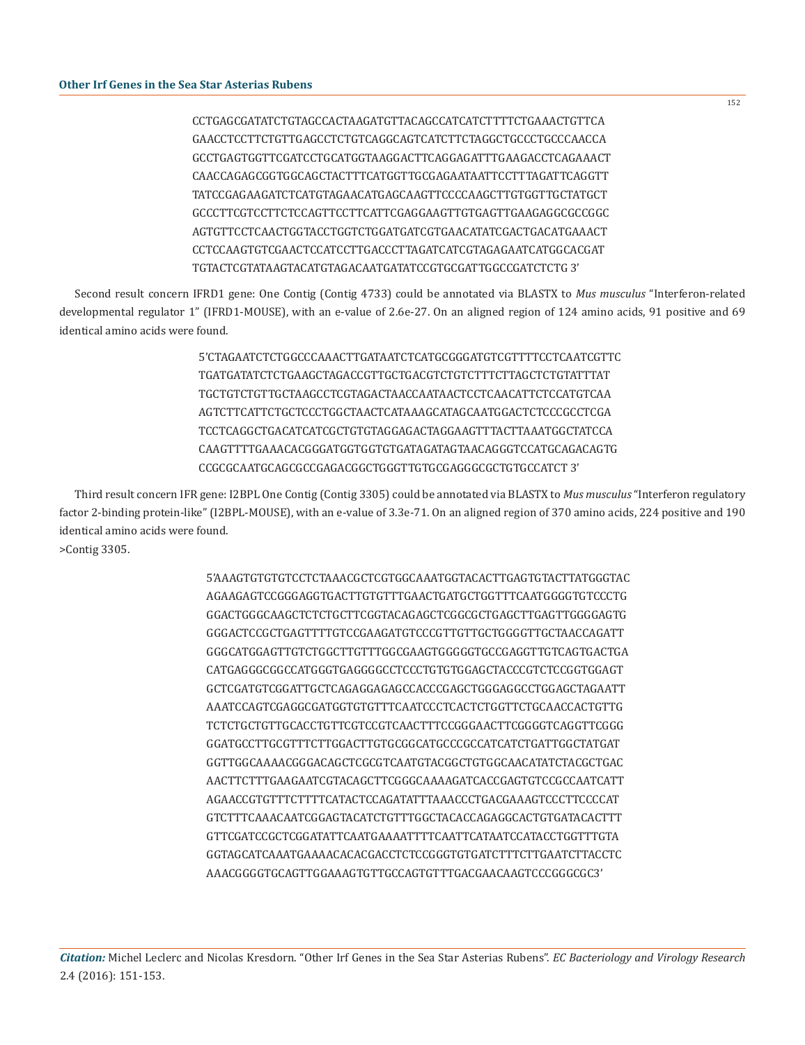CCTGAGCGATATCTGTAGCCACTAAGATGTTACAGCCATCATCTTTTCTGAAACTGTTCA GAACCTCCTTCTGTTGAGCCTCTGTCAGGCAGTCATCTTCTAGGCTGCCCTGCCCAACCA GCCTGAGTGGTTCGATCCTGCATGGTAAGGACTTCAGGAGATTTGAAGACCTCAGAAACT CAACCAGAGCGGTGGCAGCTACTTTCATGGTTGCGAGAATAATTCCTTTAGATTCAGGTT TATCCGAGAAGATCTCATGTAGAACATGAGCAAGTTCCCCAAGCTTGTGGTTGCTATGCT GCCCTTCGTCCTTCTCCAGTTCCTTCATTCGAGGAAGTTGTGAGTTGAAGAGGCGCCGGC AGTGTTCCTCAACTGGTACCTGGTCTGGATGATCGTGAACATATCGACTGACATGAAACT CCTCCAAGTGTCGAACTCCATCCTTGACCCTTAGATCATCGTAGAGAATCATGGCACGAT TGTACTCGTATAAGTACATGTAGACAATGATATCCGTGCGATTGGCCGATCTCTG 3'

Second result concern IFRD1 gene: One Contig (Contig 4733) could be annotated via BLASTX to *Mus musculus* "Interferon-related developmental regulator 1" (IFRD1-MOUSE), with an e-value of 2.6e-27. On an aligned region of 124 amino acids, 91 positive and 69 identical amino acids were found.

> 5'CTAGAATCTCTGGCCCAAACTTGATAATCTCATGCGGGATGTCGTTTTCCTCAATCGTTC TGATGATATCTCTGAAGCTAGACCGTTGCTGACGTCTGTCTTTCTTAGCTCTGTATTTAT TGCTGTCTGTTGCTAAGCCTCGTAGACTAACCAATAACTCCTCAACATTCTCCATGTCAA AGTCTTCATTCTGCTCCCTGGCTAACTCATAAAGCATAGCAATGGACTCTCCCGCCTCGA TCCTCAGGCTGACATCATCGCTGTGTAGGAGACTAGGAAGTTTACTTAAATGGCTATCCA CAAGTTTTGAAACACGGGATGGTGGTGTGATAGATAGTAACAGGGTCCATGCAGACAGTG CCGCGCAATGCAGCGCCGAGACGGCTGGGTTGTGCGAGGGCGCTGTGCCATCT 3'

Third result concern IFR gene: I2BPL One Contig (Contig 3305) could be annotated via BLASTX to *Mus musculus* "Interferon regulatory factor 2-binding protein-like" (I2BPL-MOUSE), with an e-value of 3.3e-71. On an aligned region of 370 amino acids, 224 positive and 190 identical amino acids were found. >Contig 3305.

> 5'AAAGTGTGTGTCCTCTAAACGCTCGTGGCAAATGGTACACTTGAGTGTACTTATGGGTAC AGAAGAGTCCGGGAGGTGACTTGTGTTTGAACTGATGCTGGTTTCAATGGGGTGTCCCTG GGACTGGGCAAGCTCTCTGCTTCGGTACAGAGCTCGGCGCTGAGCTTGAGTTGGGGAGTG GGGACTCCGCTGAGTTTTGTCCGAAGATGTCCCGTTGTTGCTGGGGTTGCTAACCAGATT GGGCATGGAGTTGTCTGGCTTGTTTGGCGAAGTGGGGGTGCCGAGGTTGTCAGTGACTGA CATGAGGGCGGCCATGGGTGAGGGGCCTCCCTGTGTGGAGCTACCCGTCTCCGGTGGAGT GCTCGATGTCGGATTGCTCAGAGGAGAGCCACCCGAGCTGGGAGGCCTGGAGCTAGAATT AAATCCAGTCGAGGCGATGGTGTGTTTCAATCCCTCACTCTGGTTCTGCAACCACTGTTG TCTCTGCTGTTGCACCTGTTCGTCCGTCAACTTTCCGGGAACTTCGGGGTCAGGTTCGGG GGATGCCTTGCGTTTCTTGGACTTGTGCGGCATGCCCGCCATCATCTGATTGGCTATGAT GGTTGGCAAAACGGGACAGCTCGCGTCAATGTACGGCTGTGGCAACATATCTACGCTGAC AACTTCTTTGAAGAATCGTACAGCTTCGGGCAAAAGATCACCGAGTGTCCGCCAATCATT AGAACCGTGTTTCTTTTCATACTCCAGATATTTAAACCCTGACGAAAGTCCCTTCCCCAT GTCTTTCAAACAATCGGAGTACATCTGTTTGGCTACACCAGAGGCACTGTGATACACTTT GTTCGATCCGCTCGGATATTCAATGAAAATTTTCAATTCATAATCCATACCTGGTTTGTA GGTAGCATCAAATGAAAACACACGACCTCTCCGGGTGTGATCTTTCTTGAATCTTACCTC AAACGGGGTGCAGTTGGAAAGTGTTGCCAGTGTTTGACGAACAAGTCCCGGGCGC3'